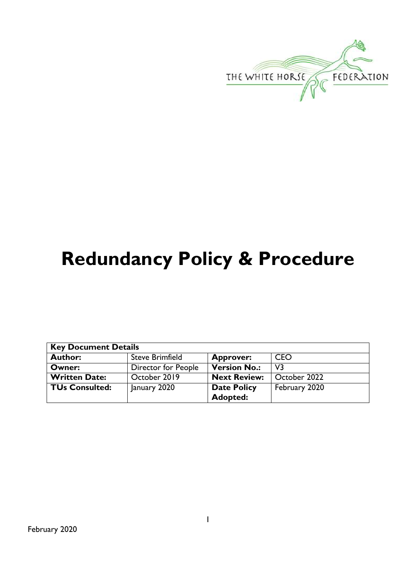

# **Redundancy Policy & Procedure**

| <b>Key Document Details</b> |                        |                     |               |  |
|-----------------------------|------------------------|---------------------|---------------|--|
| <b>Author:</b>              | <b>Steve Brimfield</b> | <b>Approver:</b>    | <b>CEO</b>    |  |
| Owner:                      | Director for People    | <b>Version No.:</b> | V3            |  |
| <b>Written Date:</b>        | October 2019           | <b>Next Review:</b> | October 2022  |  |
| <b>TUs Consulted:</b>       | January 2020           | <b>Date Policy</b>  | February 2020 |  |
|                             |                        | Adopted:            |               |  |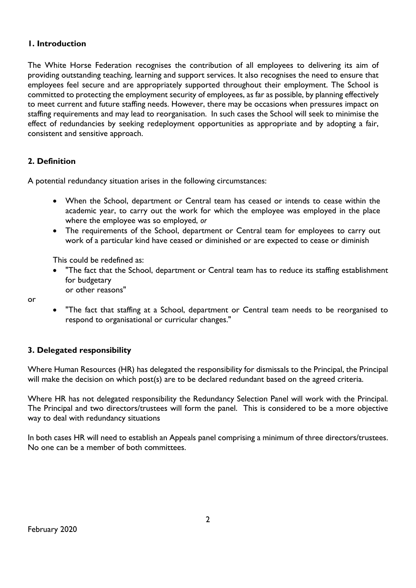# **1. Introduction**

The White Horse Federation recognises the contribution of all employees to delivering its aim of providing outstanding teaching, learning and support services. It also recognises the need to ensure that employees feel secure and are appropriately supported throughout their employment. The School is committed to protecting the employment security of employees, as far as possible, by planning effectively to meet current and future staffing needs. However, there may be occasions when pressures impact on staffing requirements and may lead to reorganisation. In such cases the School will seek to minimise the effect of redundancies by seeking redeployment opportunities as appropriate and by adopting a fair, consistent and sensitive approach.

# **2. Definition**

A potential redundancy situation arises in the following circumstances:

- When the School, department or Central team has ceased or intends to cease within the academic year, to carry out the work for which the employee was employed in the place where the employee was so employed, *or*
- The requirements of the School, department or Central team for employees to carry out work of a particular kind have ceased or diminished or are expected to cease or diminish

This could be redefined as:

 "The fact that the School, department or Central team has to reduce its staffing establishment for budgetary or other reasons"

or

 "The fact that staffing at a School, department or Central team needs to be reorganised to respond to organisational or curricular changes."

# **3. Delegated responsibility**

Where Human Resources (HR) has delegated the responsibility for dismissals to the Principal, the Principal will make the decision on which post(s) are to be declared redundant based on the agreed criteria.

Where HR has not delegated responsibility the Redundancy Selection Panel will work with the Principal. The Principal and two directors/trustees will form the panel. This is considered to be a more objective way to deal with redundancy situations

In both cases HR will need to establish an Appeals panel comprising a minimum of three directors/trustees. No one can be a member of both committees.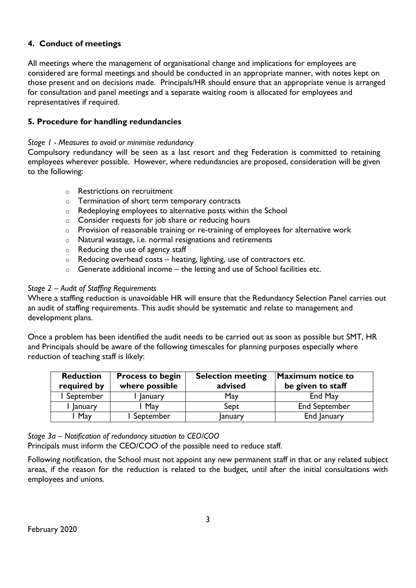# **4. Conduct of meetings**

All meetings where the management of organisational change and implications for employees are considered are formal meetings and should be conducted in an appropriate manner, with notes kept on those present and on decisions made. Principals/HR should ensure that an appropriate venue is arranged for consultation and panel meetings and a separate waiting room is allocated for employees and representatives if required.

## **5. Procedure for handling redundancies**

#### *Stage 1 - Measures to avoid or minimise redundancy*

Compulsory redundancy will be seen as a last resort and theg Federation is committed to retaining employees wherever possible. However, where redundancies are proposed, consideration will be given to the following:

- o Restrictions on recruitment
- o Termination of short term temporary contracts
- o Redeploying employees to alternative posts within the School
- o Consider requests for job share or reducing hours
- o Provision of reasonable training or re-training of employees for alternative work
- o Natural wastage, i.e. normal resignations and retirements
- o Reducing the use of agency staff
- $\circ$  Reducing overhead costs heating, lighting, use of contractors etc.
- $\circ$  Generate additional income the letting and use of School facilities etc.

#### *Stage 2 – Audit of Staffing Requirements*

Where a staffing reduction is unavoidable HR will ensure that the Redundancy Selection Panel carries out an audit of staffing requirements. This audit should be systematic and relate to management and development plans.

Once a problem has been identified the audit needs to be carried out as soon as possible but SMT, HR and Principals should be aware of the following timescales for planning purposes especially where reduction of teaching staff is likely:

| <b>Reduction</b><br>required by | <b>Process to begin</b><br>where possible | <b>Selection meeting</b><br>advised | <b>Maximum notice to</b><br>be given to staff |
|---------------------------------|-------------------------------------------|-------------------------------------|-----------------------------------------------|
| September                       | <b>January</b>                            | May                                 | End May                                       |
| January                         | May                                       | Sept                                | <b>End September</b>                          |
| May                             | l September                               | January                             | End January                                   |

*Stage 3a – Notification of redundancy situation to CEO/COO*

Principals must inform the CEO/COO of the possible need to reduce staff.

Following notification, the School must not appoint any new permanent staff in that or any related subject areas, if the reason for the reduction is related to the budget, until after the initial consultations with employees and unions.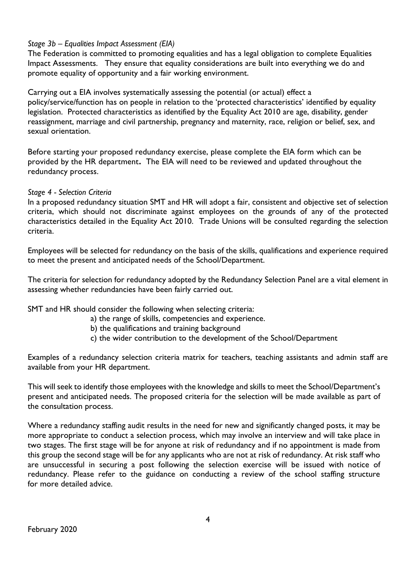#### *Stage 3b – Equalities Impact Assessment (EIA)*

The Federation is committed to promoting equalities and has a legal obligation to complete Equalities Impact Assessments. They ensure that equality considerations are built into everything we do and promote equality of opportunity and a fair working environment.

Carrying out a EIA involves systematically assessing the potential (or actual) effect a policy/service/function has on people in relation to the 'protected characteristics' identified by equality legislation. Protected characteristics as identified by the Equality Act 2010 are age, disability, gender reassignment, marriage and civil partnership, pregnancy and maternity, race, religion or belief, sex, and sexual orientation.

Before starting your proposed redundancy exercise, please complete the EIA form which can be provided by the HR department**.** The EIA will need to be reviewed and updated throughout the redundancy process.

#### *Stage 4 - Selection Criteria*

In a proposed redundancy situation SMT and HR will adopt a fair, consistent and objective set of selection criteria, which should not discriminate against employees on the grounds of any of the protected characteristics detailed in the Equality Act 2010. Trade Unions will be consulted regarding the selection criteria.

Employees will be selected for redundancy on the basis of the skills, qualifications and experience required to meet the present and anticipated needs of the School/Department.

The criteria for selection for redundancy adopted by the Redundancy Selection Panel are a vital element in assessing whether redundancies have been fairly carried out.

SMT and HR should consider the following when selecting criteria:

- a) the range of skills, competencies and experience.
- b) the qualifications and training background
- c) the wider contribution to the development of the School/Department

Examples of a redundancy selection criteria matrix for teachers, teaching assistants and admin staff are available from your HR department.

This will seek to identify those employees with the knowledge and skills to meet the School/Department's present and anticipated needs. The proposed criteria for the selection will be made available as part of the consultation process.

Where a redundancy staffing audit results in the need for new and significantly changed posts, it may be more appropriate to conduct a selection process, which may involve an interview and will take place in two stages. The first stage will be for anyone at risk of redundancy and if no appointment is made from this group the second stage will be for any applicants who are not at risk of redundancy. At risk staff who are unsuccessful in securing a post following the selection exercise will be issued with notice of redundancy. Please refer to the guidance on conducting a review of the school staffing structure for more detailed advice.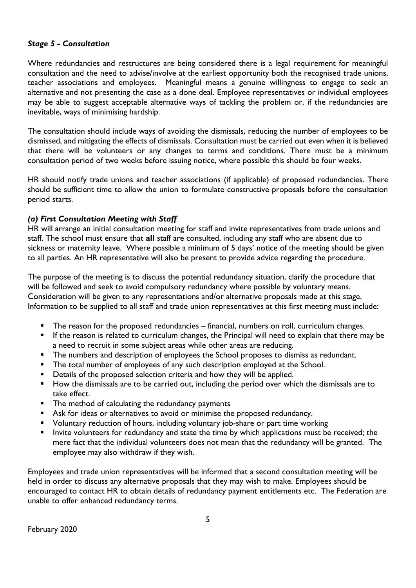## *Stage 5 - Consultation*

Where redundancies and restructures are being considered there is a legal requirement for meaningful consultation and the need to advise/involve at the earliest opportunity both the recognised trade unions, teacher associations and employees. Meaningful means a genuine willingness to engage to seek an alternative and not presenting the case as a done deal. Employee representatives or individual employees may be able to suggest acceptable alternative ways of tackling the problem or, if the redundancies are inevitable, ways of minimising hardship.

The consultation should include ways of avoiding the dismissals, reducing the number of employees to be dismissed, and mitigating the effects of dismissals. Consultation must be carried out even when it is believed that there will be volunteers or any changes to terms and conditions. There must be a minimum consultation period of two weeks before issuing notice, where possible this should be four weeks.

HR should notify trade unions and teacher associations (if applicable) of proposed redundancies. There should be sufficient time to allow the union to formulate constructive proposals before the consultation period starts.

#### *(a) First Consultation Meeting with Staff*

HR will arrange an initial consultation meeting for staff and invite representatives from trade unions and staff. The school must ensure that **all** staff are consulted, including any staff who are absent due to sickness or maternity leave. Where possible a minimum of 5 days' notice of the meeting should be given to all parties. An HR representative will also be present to provide advice regarding the procedure.

The purpose of the meeting is to discuss the potential redundancy situation, clarify the procedure that will be followed and seek to avoid compulsory redundancy where possible by voluntary means. Consideration will be given to any representations and/or alternative proposals made at this stage. Information to be supplied to all staff and trade union representatives at this first meeting must include:

- **The reason for the proposed redundancies financial, numbers on roll, curriculum changes.**
- If the reason is related to curriculum changes, the Principal will need to explain that there may be a need to recruit in some subject areas while other areas are reducing.
- **The numbers and description of employees the School proposes to dismiss as redundant.**
- **The total number of employees of any such description employed at the School.**
- **•** Details of the proposed selection criteria and how they will be applied.
- How the dismissals are to be carried out, including the period over which the dismissals are to take effect.
- **The method of calculating the redundancy payments**
- Ask for ideas or alternatives to avoid or minimise the proposed redundancy.
- Voluntary reduction of hours, including voluntary job-share or part time working
- Invite volunteers for redundancy and state the time by which applications must be received; the mere fact that the individual volunteers does not mean that the redundancy will be granted. The employee may also withdraw if they wish.

Employees and trade union representatives will be informed that a second consultation meeting will be held in order to discuss any alternative proposals that they may wish to make. Employees should be encouraged to contact HR to obtain details of redundancy payment entitlements etc. The Federation are unable to offer enhanced redundancy terms.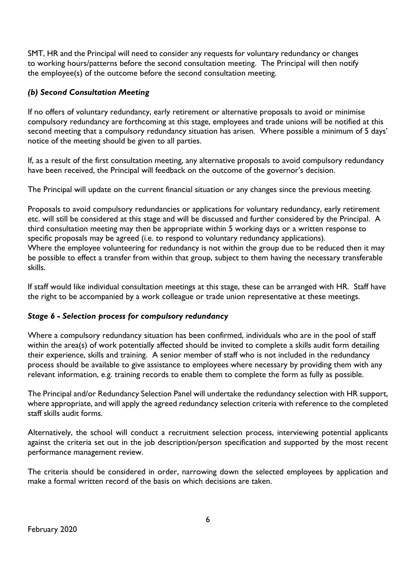SMT, HR and the Principal will need to consider any requests for voluntary redundancy or changes to working hours/patterns before the second consultation meeting. The Principal will then notify the employee(s) of the outcome before the second consultation meeting.

# *(b) Second Consultation Meeting*

If no offers of voluntary redundancy, early retirement or alternative proposals to avoid or minimise compulsory redundancy are forthcoming at this stage, employees and trade unions will be notified at this second meeting that a compulsory redundancy situation has arisen. Where possible a minimum of 5 days' notice of the meeting should be given to all parties.

If, as a result of the first consultation meeting, any alternative proposals to avoid compulsory redundancy have been received, the Principal will feedback on the outcome of the governor's decision.

The Principal will update on the current financial situation or any changes since the previous meeting.

Proposals to avoid compulsory redundancies or applications for voluntary redundancy, early retirement etc. will still be considered at this stage and will be discussed and further considered by the Principal. A third consultation meeting may then be appropriate within 5 working days or a written response to specific proposals may be agreed (i.e. to respond to voluntary redundancy applications). Where the employee volunteering for redundancy is not within the group due to be reduced then it may be possible to effect a transfer from within that group, subject to them having the necessary transferable skills.

If staff would like individual consultation meetings at this stage, these can be arranged with HR. Staff have the right to be accompanied by a work colleague or trade union representative at these meetings.

# *Stage 6 - Selection process for compulsory redundancy*

Where a compulsory redundancy situation has been confirmed, individuals who are in the pool of staff within the area(s) of work potentially affected should be invited to complete a skills audit form detailing their experience, skills and training. A senior member of staff who is not included in the redundancy process should be available to give assistance to employees where necessary by providing them with any relevant information, e.g. training records to enable them to complete the form as fully as possible.

The Principal and/or Redundancy Selection Panel will undertake the redundancy selection with HR support, where appropriate, and will apply the agreed redundancy selection criteria with reference to the completed staff skills audit forms.

Alternatively, the school will conduct a recruitment selection process, interviewing potential applicants against the criteria set out in the job description/person specification and supported by the most recent performance management review.

The criteria should be considered in order, narrowing down the selected employees by application and make a formal written record of the basis on which decisions are taken.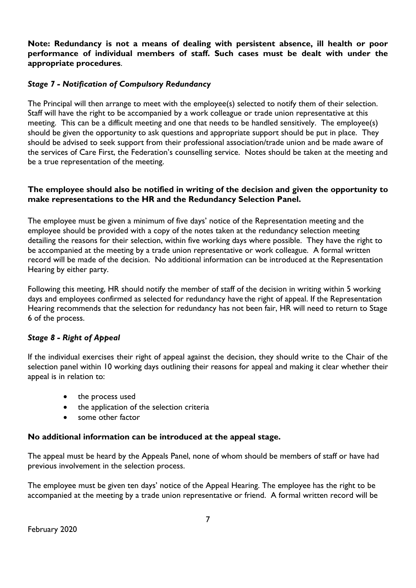**Note: Redundancy is not a means of dealing with persistent absence, ill health or poor performance of individual members of staff. Such cases must be dealt with under the appropriate procedures**.

# *Stage 7 - Notification of Compulsory Redundancy*

The Principal will then arrange to meet with the employee(s) selected to notify them of their selection. Staff will have the right to be accompanied by a work colleague or trade union representative at this meeting. This can be a difficult meeting and one that needs to be handled sensitively. The employee(s) should be given the opportunity to ask questions and appropriate support should be put in place. They should be advised to seek support from their professional association/trade union and be made aware of the services of Care First, the Federation's counselling service. Notes should be taken at the meeting and be a true representation of the meeting.

## **The employee should also be notified in writing of the decision and given the opportunity to make representations to the HR and the Redundancy Selection Panel.**

The employee must be given a minimum of five days' notice of the Representation meeting and the employee should be provided with a copy of the notes taken at the redundancy selection meeting detailing the reasons for their selection, within five working days where possible. They have the right to be accompanied at the meeting by a trade union representative or work colleague. A formal written record will be made of the decision. No additional information can be introduced at the Representation Hearing by either party.

Following this meeting, HR should notify the member of staff of the decision in writing within 5 working days and employees confirmed as selected for redundancy have the right of appeal. If the Representation Hearing recommends that the selection for redundancy has not been fair, HR will need to return to Stage 6 of the process.

# *Stage 8 - Right of Appeal*

If the individual exercises their right of appeal against the decision, they should write to the Chair of the selection panel within 10 working days outlining their reasons for appeal and making it clear whether their appeal is in relation to:

- the process used
- the application of the selection criteria
- some other factor

# **No additional information can be introduced at the appeal stage.**

The appeal must be heard by the Appeals Panel, none of whom should be members of staff or have had previous involvement in the selection process.

The employee must be given ten days' notice of the Appeal Hearing. The employee has the right to be accompanied at the meeting by a trade union representative or friend. A formal written record will be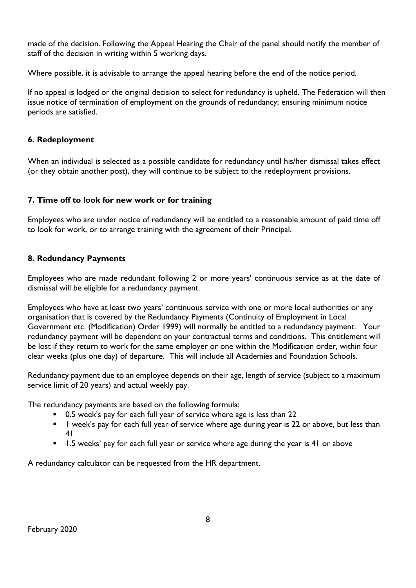made of the decision. Following the Appeal Hearing the Chair of the panel should notify the member of staff of the decision in writing within 5 working days.

Where possible, it is advisable to arrange the appeal hearing before the end of the notice period.

If no appeal is lodged or the original decision to select for redundancy is upheld. The Federation will then issue notice of termination of employment on the grounds of redundancy; ensuring minimum notice periods are satisfied.

# **6. Redeployment**

When an individual is selected as a possible candidate for redundancy until his/her dismissal takes effect (or they obtain another post), they will continue to be subject to the redeployment provisions.

# **7. Time off to look for new work or for training**

Employees who are under notice of redundancy will be entitled to a reasonable amount of paid time off to look for work, or to arrange training with the agreement of their Principal.

# **8. Redundancy Payments**

Employees who are made redundant following 2 or more years' continuous service as at the date of dismissal will be eligible for a redundancy payment.

Employees who have at least two years' continuous service with one or more local authorities or any organisation that is covered by the Redundancy Payments (Continuity of Employment in Local Government etc. (Modification) Order 1999) will normally be entitled to a redundancy payment. Your redundancy payment will be dependent on your contractual terms and conditions. This entitlement will be lost if they return to work for the same employer or one within the Modification order, within four clear weeks (plus one day) of departure. This will include all Academies and Foundation Schools.

Redundancy payment due to an employee depends on their age, length of service (subject to a maximum service limit of 20 years) and actual weekly pay.

The redundancy payments are based on the following formula:

- 0.5 week's pay for each full year of service where age is less than 22
- **I** l week's pay for each full year of service where age during year is 22 or above, but less than 41
- **1.5** weeks' pay for each full year or service where age during the year is 41 or above

A redundancy calculator can be requested from the HR department.